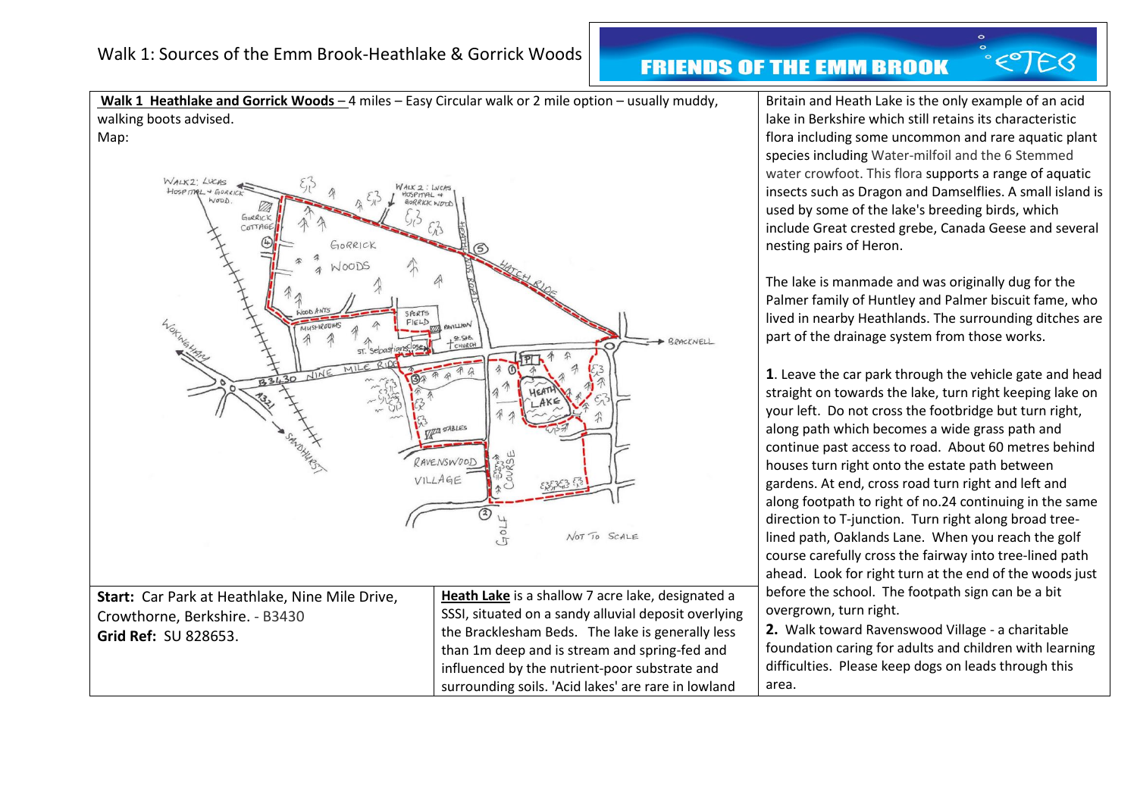**Walk 1 Heathlake and Gorrick Woods** – 4 miles – Easy Circular walk or 2 mile option – usually muddy, walking boots advised.



influenced by the nutrient-poor substrate and surrounding soils. 'Acid lakes' are rare in lowland Britain and Heath Lake is the only example of an acid lake in Berkshire which still retains its characteristic flora including some uncommon and rare aquatic plant species including Water-milfoil and the 6 Stemmed water crowfoot. This flora supports a range of aquatic insects such as Dragon and Damselflies. A small island is used by some of the lake's breeding birds, which include Great crested grebe, Canada Geese and several nesting pairs of Heron.

ETEB

The lake is manmade and was originally dug for the Palmer family of Huntley and Palmer biscuit fame, who lived in nearby Heathlands. The surrounding ditches are part of the drainage system from those works.

**1**. Leave the car park through the vehicle gate and head straight on towards the lake, turn right keeping lake on your left. Do not cross the footbridge but turn right, along path which becomes a wide grass path and continue past access to road. About 60 metres behind houses turn right onto the estate path between gardens. At end, cross road turn right and left and along footpath to right of no.24 continuing in the same direction to T-junction. Turn right along broad treelined path, Oaklands Lane. When you reach the golf course carefully cross the fairway into tree-lined path ahead. Look for right turn at the end of the woods just before the school. The footpath sign can be a bit overgrown, turn right.

**2.** Walk toward Ravenswood Village - a charitable foundation caring for adults and children with learning difficulties. Please keep dogs on leads through this area.